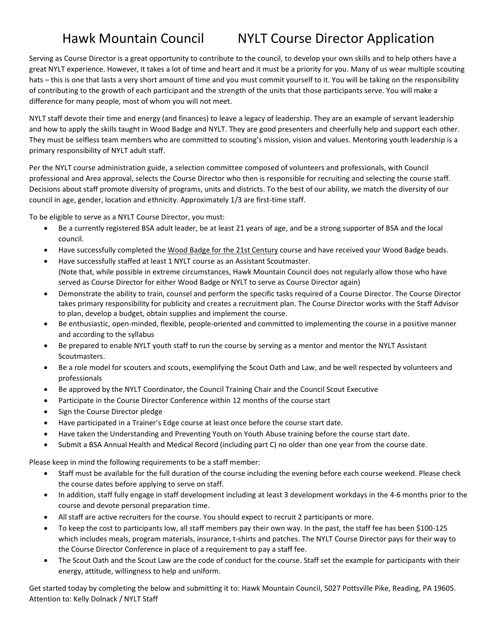## Hawk Mountain Council NYLT Course Director Application

Serving as Course Director is a great opportunity to contribute to the council, to develop your own skills and to help others have a great NYLT experience. However, it takes a lot of time and heart and it must be a priority for you. Many of us wear multiple scouting hats – this is one that lasts a very short amount of time and you must commit yourself to it. You will be taking on the responsibility of contributing to the growth of each participant and the strength of the units that those participants serve. You will make a difference for many people, most of whom you will not meet.

NYLT staff devote their time and energy (and finances) to leave a legacy of leadership. They are an example of servant leadership and how to apply the skills taught in Wood Badge and NYLT. They are good presenters and cheerfully help and support each other. They must be selfless team members who are committed to scouting's mission, vision and values. Mentoring youth leadership is a primary responsibility of NYLT adult staff.

Per the NYLT course administration guide, a selection committee composed of volunteers and professionals, with Council professional and Area approval, selects the Course Director who then is responsible for recruiting and selecting the course staff. Decisions about staff promote diversity of programs, units and districts. To the best of our ability, we match the diversity of our council in age, gender, location and ethnicity. Approximately 1/3 are first-time staff.

To be eligible to serve as a NYLT Course Director, you must:

- Be a currently registered BSA adult leader, be at least 21 years of age, and be a strong supporter of BSA and the local council.
- Have successfully completed the Wood Badge for the 21st Century course and have received your Wood Badge beads.
- Have successfully staffed at least 1 NYLT course as an Assistant Scoutmaster. (Note that, while possible in extreme circumstances, Hawk Mountain Council does not regularly allow those who have served as Course Director for either Wood Badge or NYLT to serve as Course Director again)
- Demonstrate the ability to train, counsel and perform the specific tasks required of a Course Director. The Course Director takes primary responsibility for publicity and creates a recruitment plan. The Course Director works with the Staff Advisor to plan, develop a budget, obtain supplies and implement the course.
- Be enthusiastic, open-minded, flexible, people-oriented and committed to implementing the course in a positive manner and according to the syllabus
- Be prepared to enable NYLT youth staff to run the course by serving as a mentor and mentor the NYLT Assistant Scoutmasters.
- Be a role model for scouters and scouts, exemplifying the Scout Oath and Law, and be well respected by volunteers and professionals
- Be approved by the NYLT Coordinator, the Council Training Chair and the Council Scout Executive
- Participate in the Course Director Conference within 12 months of the course start
- Sign the Course Director pledge
- Have participated in a Trainer's Edge course at least once before the course start date.
- Have taken the Understanding and Preventing Youth on Youth Abuse training before the course start date.
- Submit a BSA Annual Health and Medical Record (including part C) no older than one year from the course date.

Please keep in mind the following requirements to be a staff member:

- Staff must be available for the full duration of the course including the evening before each course weekend. Please check the course dates before applying to serve on staff.
- In addition, staff fully engage in staff development including at least 3 development workdays in the 4-6 months prior to the course and devote personal preparation time.
- All staff are active recruiters for the course. You should expect to recruit 2 participants or more.
- To keep the cost to participants low, all staff members pay their own way. In the past, the staff fee has been \$100-125 which includes meals, program materials, insurance, t-shirts and patches. The NYLT Course Director pays for their way to the Course Director Conference in place of a requirement to pay a staff fee.
- The Scout Oath and the Scout Law are the code of conduct for the course. Staff set the example for participants with their energy, attitude, willingness to help and uniform.

Get started today by completing the below and submitting it to: Hawk Mountain Council, 5027 Pottsville Pike, Reading, PA 19605. Attention to: Kelly Dolnack / NYLT Staff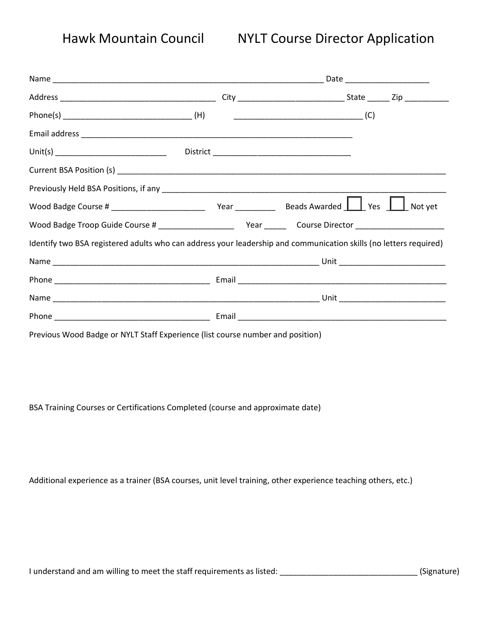## Hawk Mountain Council NYLT Course Director Application

| Identify two BSA registered adults who can address your leadership and communication skills (no letters required)     |  |  |  |
|-----------------------------------------------------------------------------------------------------------------------|--|--|--|
|                                                                                                                       |  |  |  |
|                                                                                                                       |  |  |  |
|                                                                                                                       |  |  |  |
|                                                                                                                       |  |  |  |
| <u> 2001 - John Harry Harry Harry Harry Harry Harry Harry Harry Harry Harry Harry Harry Harry Harry Harry Harry H</u> |  |  |  |

Previous Wood Badge or NYLT Staff Experience (list course number and position)

BSA Training Courses or Certifications Completed (course and approximate date)

Additional experience as a trainer (BSA courses, unit level training, other experience teaching others, etc.)

I understand and am willing to meet the staff requirements as listed: \_\_\_\_\_\_\_\_\_\_\_\_\_\_\_\_\_\_\_\_\_\_\_\_\_\_\_\_\_\_\_ (Signature)